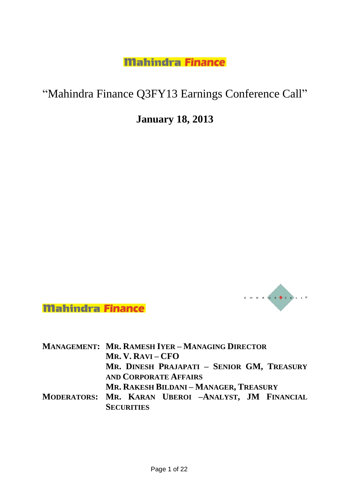# "Mahindra Finance Q3FY13 Earnings Conference Call"

# **January 18, 2013**



**Mahindra Finance** 

|  | <b>MANAGEMENT: MR. RAMESH IYER - MANAGING DIRECTOR</b> |
|--|--------------------------------------------------------|
|  | MR. V. RAVI – $CFO$                                    |
|  | MR. DINESH PRAJAPATI - SENIOR GM, TREASURY             |
|  | <b>AND CORPORATE AFFAIRS</b>                           |
|  | MR. RAKESH BILDANI - MANAGER, TREASURY                 |
|  | MODERATORS: MR. KARAN UBEROI -ANALYST, JM FINANCIAL    |

**SECURITIES**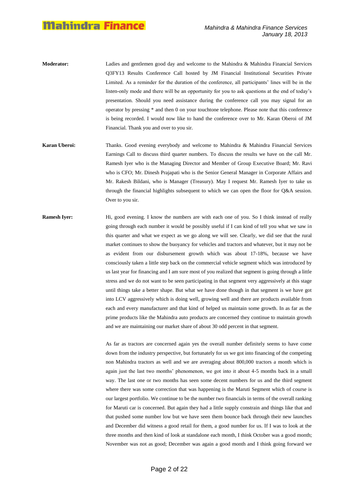- **Moderator:** Ladies and gentlemen good day and welcome to the Mahindra & Mahindra Financial Services Q3FY13 Results Conference Call hosted by JM Financial Institutional Securities Private Limited. As a reminder for the duration of the conference, all participants" lines will be in the listen-only mode and there will be an opportunity for you to ask questions at the end of today"s presentation. Should you need assistance during the conference call you may signal for an operator by pressing \* and then 0 on your touchtone telephone. Please note that this conference is being recorded. I would now like to hand the conference over to Mr. Karan Oberoi of JM Financial. Thank you and over to you sir.
- **Karan Uberoi:** Thanks. Good evening everybody and welcome to Mahindra & Mahindra Financial Services Earnings Call to discuss third quarter numbers. To discuss the results we have on the call Mr. Ramesh Iyer who is the Managing Director and Member of Group Executive Board; Mr. Ravi who is CFO; Mr. Dinesh Prajapati who is the Senior General Manager in Corporate Affairs and Mr. Rakesh Bildani, who is Manager (Treasury). May I request Mr. Ramesh Iyer to take us through the financial highlights subsequent to which we can open the floor for Q&A session. Over to you sir.
- **Ramesh Iyer:** Hi, good evening. I know the numbers are with each one of you. So I think instead of really going through each number it would be possibly useful if I can kind of tell you what we saw in this quarter and what we expect as we go along we will see. Clearly, we did see that the rural market continues to show the buoyancy for vehicles and tractors and whatever, but it may not be as evident from our disbursement growth which was about 17-18%, because we have consciously taken a little step back on the commercial vehicle segment which was introduced by us last year for financing and I am sure most of you realized that segment is going through a little stress and we do not want to be seen participating in that segment very aggressively at this stage until things take a better shape. But what we have done though in that segment is we have got into LCV aggressively which is doing well, growing well and there are products available from each and every manufacturer and that kind of helped us maintain some growth. In as far as the prime products like the Mahindra auto products are concerned they continue to maintain growth and we are maintaining our market share of about 30 odd percent in that segment.

As far as tractors are concerned again yes the overall number definitely seems to have come down from the industry perspective, but fortunately for us we got into financing of the competing non Mahindra tractors as well and we are averaging about 800,000 tractors a month which is again just the last two months" phenomenon, we got into it about 4-5 months back in a small way. The last one or two months has seen some decent numbers for us and the third segment where there was some correction that was happening is the Maruti Segment which of course is our largest portfolio. We continue to be the number two financials in terms of the overall ranking for Maruti car is concerned. But again they had a little supply constrain and things like that and that pushed some number low but we have seen them bounce back through their new launches and December did witness a good retail for them, a good number for us. If I was to look at the three months and then kind of look at standalone each month, I think October was a good month; November was not as good; December was again a good month and I think going forward we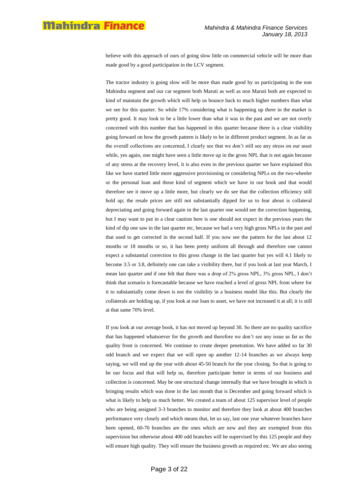believe with this approach of ours of going slow little on commercial vehicle will be more than made good by a good participation in the LCV segment.

The tractor industry is going slow will be more than made good by us participating in the non Mahindra segment and our car segment both Maruti as well as non Maruti both are expected to kind of maintain the growth which will help us bounce back to much higher numbers than what we see for this quarter. So while 17% considering what is happening up there in the market is pretty good. It may look to be a little lower than what it was in the past and we are not overly concerned with this number that has happened in this quarter because there is a clear visibility going forward on how the growth pattern is likely to be in different product segment. In as far as the overall collections are concerned, I clearly see that we don"t still see any stress on our asset while, yes again, one might have seen a little move up in the gross NPL that is not again because of any stress at the recovery level, it is also even in the previous quarter we have explained this like we have started little more aggressive provisioning or considering NPLs on the two-wheeler or the personal loan and those kind of segment which we have in our book and that would therefore see it move up a little more, but clearly we do see that the collection efficiency still hold up; the resale prices are still not substantially dipped for us to fear about is collateral depreciating and going forward again in the last quarter one would see the correction happening, but I may want to put in a clear caution here is one should not expect in the previous years the kind of dip one saw in the last quarter etc, because we had a very high gross NPLs in the past and that used to get corrected in the second half. If you now see the pattern for the last about 12 months or 18 months or so, it has been pretty uniform all through and therefore one cannot expect a substantial correction to this gross change in the last quarter but yes will 4.1 likely to become 3.5 or 3.8, definitely one can take a visibility there, but if you look at last year March, I mean last quarter and if one felt that there was a drop of 2% gross NPL, 3% gross NPL, I don"t think that scenario is forecastable because we have reached a level of gross NPL from where for it to substantially come down is not the visibility in a business model like this. But clearly the collaterals are holding up, if you look at our loan to asset, we have not increased it at all; it is still at that same 70% level.

If you look at our average book, it has not moved up beyond 30. So there are no quality sacrifice that has happened whatsoever for the growth and therefore we don"t see any issue as far as the quality front is concerned. We continue to create deeper penetration. We have added so far 30 odd branch and we expect that we will open up another 12-14 branches as we always keep saying, we will end up the year with about 45-50 branch for the year closing. So that is going to be our focus and that will help us, therefore participate better in terms of our business and collection is concerned. May be one structural change internally that we have brought in which is bringing results which was done in the last month that is December and going forward which is what is likely to help us much better. We created a team of about 125 supervisor level of people who are being assigned 3-3 branches to monitor and therefore they look at about 400 branches performance very closely and which means that, let us say, last one year whatever branches have been opened, 60-70 branches are the ones which are new and they are exempted from this supervision but otherwise about 400 odd branches will be supervised by this 125 people and they will ensure high quality. They will ensure the business growth as required etc. We are also seeing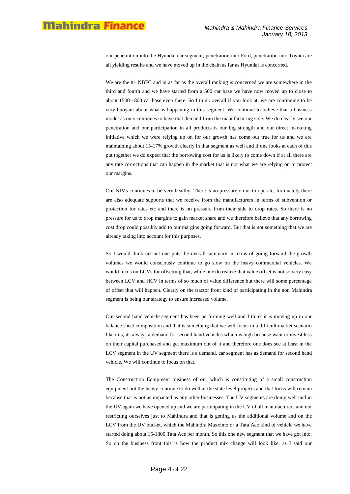our penetration into the Hyundai car segment, penetration into Ford, penetration into Toyota are all yielding results and we have moved up in the chain as far as Hyundai is concerned.

We are the #1 NBFC and in as far as the overall ranking is concerned we are somewhere in the third and fourth and we have started from a 500 car base we have now moved up to close to about 1500-1800 car base even there. So I think overall if you look at, we are continuing to be very buoyant about what is happening in this segment. We continue to believe that a business model as ours continues to have that demand from the manufacturing side. We do clearly see our penetration and our participation in all products is our big strength and our direct marketing initiative which we were relying up on for our growth has come out true for us and we are maintaining about 15-17% growth clearly in that segment as well and if one looks at each of this put together we do expect that the borrowing cost for us is likely to come down if at all there are any rate corrections that can happen in the market that is not what we are relying on to protect our margins.

Our NIMs continues to be very healthy. There is no pressure on us to operate, fortunately there are also adequate supports that we receive from the manufacturers in terms of subvention or protection for rates etc and there is no pressure from their side to drop rates. So there is no pressure for us to drop margins to gain market share and we therefore believe that any borrowing cost drop could possibly add to our margins going forward. But that is not something that we are already taking into account for this purposes.

So I would think net-net one puts the overall summary in terms of going forward the growth volumes we would consciously continue to go slow on the heavy commercial vehicles. We would focus on LCVs for offsetting that, while one do realize that value offset is not so very easy between LCV and HCV in terms of so much of value difference but there will some percentage of offset that will happen. Clearly on the tractor front kind of participating in the non Mahindra segment is being our strategy to ensure increased volume.

Our second hand vehicle segment has been performing well and I think it is moving up in our balance sheet composition and that is something that we will focus in a difficult market scenario like this, its always a demand for second hand vehicles which is high because want to invest less on their capital purchased and get maximum out of it and therefore one does see at least in the LCV segment in the UV segment there is a demand, car segment has as demand for second hand vehicle. We will continue to focus on that.

The Construction Equipment business of our which is constituting of a small construction equipment not the heavy continue to do well at the state level projects and that focus will remain because that is not as impacted as any other businesses. The UV segments are doing well and in the UV again we have opened up and we are participating in the UV of all manufacturers and not restricting ourselves just to Mahindra and that is getting us the additional volume and on the LCV from the UV bucket, which the Mahindra Maxximo or a Tata Ace kind of vehicle we have started doing about 15-1800 Tata Ace per month. So this one new segment that we have got into. So on the business front this is how the product mix change will look like, as I said our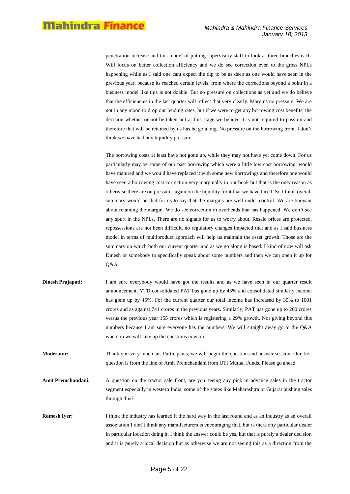penetration increase and this model of putting supervisory staff to look at three branches each. Will focus on better collection efficiency and we do see correction even to the gross NPLs happening while as I said one cant expect the dip to be as deep as one would have seen in the previous year, because its reached certain levels, from where the corrections beyond a point in a business model like this is not doable. But no pressure on collections as yet and we do believe that the efficiencies in the last quarter will reflect that very clearly. Margins no pressure. We are not in any mood to drop our lending rates, but if we were to get any borrowing cost benefits, the decision whether or not be taken but at this stage we believe it is not required to pass on and therefore that will be retained by us has be go along. No pressure on the borrowing front. I don"t think we have had any liquidity pressure.

The borrowing costs at least have not gone up, while they may not have yet come down. For us particularly may be some of our past borrowing which were a little low cost borrowing, would have matured and we would have replaced it with some new borrowings and therefore one would have seen a borrowing cost correction very marginally in our book but that is the only reason as otherwise there are on pressures again on the liquidity front that we have faced. So I think overall summary would be that for us to say that the margins are well under control. We are buoyant about retaining the margin. We do see correction in overheads that has happened. We don"t see any spurt in the NPLs. There are no signals for us to worry about. Resale prices are protected, repossessions are not been difficult, no regulatory changes impacted that and as I said business model in terms of multiproduct approach will help us maintain the asset growth. Those are the summary on which both our current quarter and as we go along is based. I kind of now will ask Dinesh or somebody to specifically speak about some numbers and then we can open it up for Q&A.

**Dinesh Prajapati:** I am sure everybody would have got the results and as we have seen in our quarter result announcement, YTD consolidated PAT has gone up by 45% and consolidated similarly income has gone up by 45%. For the current quarter our total income has increased by 35% to 1001 crores and as against 741 crores in the previous years. Similarly, PAT has gone up to 200 crores versus the previous year 155 crores which is registering a 29% growth. Not giving beyond this numbers because I am sure everyone has the numbers. We will straight away go to the Q&A where in we will take up the questions now on.

**Moderator:** Thank you very much sir. Participants, we will begin the question and answer session. Our first question is from the line of Amit Premchandani from UTI Mutual Funds. Please go ahead.

**Amit Premchandani:** A question on the tractor sale front, are you seeing any pick in advance sales in the tractor segment especially in western India, some of the states like Maharashtra or Gujarat pushing sales through this?

**Ramesh Iyer:** I think the industry has learned it the hard way in the last round and as an industry as an overall association I don"t think any manufacturers is encouraging that, but is there any particular dealer in particular location doing it, I think the answer could be yes, but that is purely a dealer decision and it is purely a local decision but as otherwise we are not seeing this as a direction from the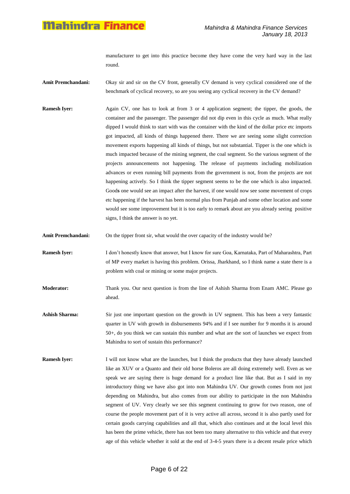manufacturer to get into this practice become they have come the very hard way in the last round.

- **Amit Premchandani:** Okay sir and sir on the CV front, generally CV demand is very cyclical considered one of the benchmark of cyclical recovery, so are you seeing any cyclical recovery in the CV demand?
- **Ramesh Iyer:** Again CV, one has to look at from 3 or 4 application segment; the tipper, the goods, the container and the passenger. The passenger did not dip even in this cycle as much. What really dipped I would think to start with was the container with the kind of the dollar price etc imports got impacted, all kinds of things happened there. There we are seeing some slight correction movement exports happening all kinds of things, but not substantial. Tipper is the one which is much impacted because of the mining segment, the coal segment. So the various segment of the projects announcements not happening. The release of payments including mobilization advances or even running bill payments from the government is not, from the projects are not happening actively. So I think the tipper segment seems to be the one which is also impacted. Good**s** one would see an impact after the harvest, if one would now see some movement of crops etc happening if the harvest has been normal plus from Punjab and some other location and some would see some improvement but it is too early to remark about are you already seeing positive signs, I think the answer is no yet.
- Amit Premchandani: On the tipper front sir, what would the over capacity of the industry would be?
- **Ramesh Iyer:** I don"t honestly know that answer, but I know for sure Goa, Karnataka, Part of Maharashtra, Part of MP every market is having this problem. Orissa, Jharkhand, so I think name a state there is a problem with coal or mining or some major projects.
- **Moderator:** Thank you. Our next question is from the line of Ashish Sharma from Enam AMC. Please go ahead.
- **Ashish Sharma:** Sir just one important question on the growth in UV segment. This has been a very fantastic quarter in UV with growth in disbursements 94% and if I see number for 9 months it is around 50+, do you think we can sustain this number and what are the sort of launches we expect from Mahindra to sort of sustain this performance?
- **Ramesh Iyer:** I will not know what are the launches, but I think the products that they have already launched like an XUV or a Quanto and their old horse Boleros are all doing extremely well. Even as we speak we are saying there is huge demand for a product line like that. But as I said in my introductory thing we have also got into non Mahindra UV. Our growth comes from not just depending on Mahindra, but also comes from our ability to participate in the non Mahindra segment of UV. Very clearly we see this segment continuing to grow for two reason, one of course the people movement part of it is very active all across, second it is also partly used for certain goods carrying capabilities and all that, which also continues and at the local level this has been the prime vehicle, there has not been too many alternative to this vehicle and that every age of this vehicle whether it sold at the end of 3-4-5 years there is a decent resale price which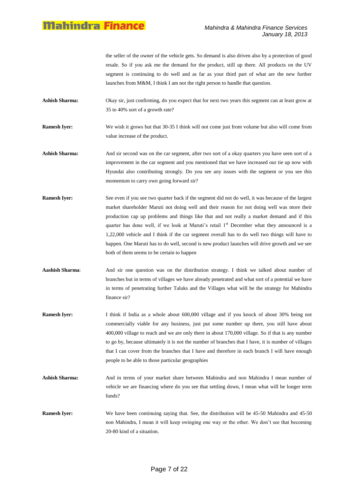the seller of the owner of the vehicle gets. So demand is also driven also by a protection of good resale. So if you ask me the demand for the product, still up there. All products on the UV segment is continuing to do well and as far as your third part of what are the new further launches from M&M, I think I am not the right person to handle that question.

- **Ashish Sharma:** Okay sir, just confirming, do you expect that for next two years this segment can at least grow at 35 to 40% sort of a growth rate?
- **Ramesh Iyer:** We wish it grows but that 30-35 I think will not come just from volume but also will come from value increase of the product.
- Ashish Sharma: And sir second was on the car segment, after two sort of a okay quarters you have seen sort of a improvement in the car segment and you mentioned that we have increased our tie up now with Hyundai also contributing strongly. Do you see any issues with the segment or you see this momentum to carry own going forward sir?
- **Ramesh Iyer:** See even if you see two quarter back if the segment did not do well, it was because of the largest market shareholder Maruti not doing well and their reason for not doing well was more their production cap up problems and things like that and not really a market demand and if this quarter has done well, if we look at Maruti's retail  $1<sup>st</sup>$  December what they announced is a 1,22,000 vehicle and I think if the car segment overall has to do well two things will have to happen. One Maruti has to do well, second is new product launches will drive growth and we see both of them seems to be certain to happen
- **Aashish Sharma**: And sir one question was on the distribution strategy. I think we talked about number of branches but in terms of villages we have already penetrated and what sort of a potential we have in terms of penetrating further Taluks and the Villages what will be the strategy for Mahindra finance sir?
- **Ramesh Iyer:** I think if India as a whole about 600,000 village and if you knock of about 30% being not commercially viable for any business, just put some number up there, you still have about 400,000 village to reach and we are only there in about 170,000 village. So if that is any number to go by, because ultimately it is not the number of branches that I have, it is number of villages that I can cover from the branches that I have and therefore in each branch I will have enough people to be able to those particular geographies
- **Ashish Sharma:** And in terms of your market share between Mahindra and non Mahindra I mean number of vehicle we are financing where do you see that settling down, I mean what will be longer term funds?
- **Ramesh Iyer:** We have been continuing saying that. See, the distribution will be 45-50 Mahindra and 45-50 non Mahindra, I mean it will keep swinging one way or the other. We don"t see that becoming 20-80 kind of a situation.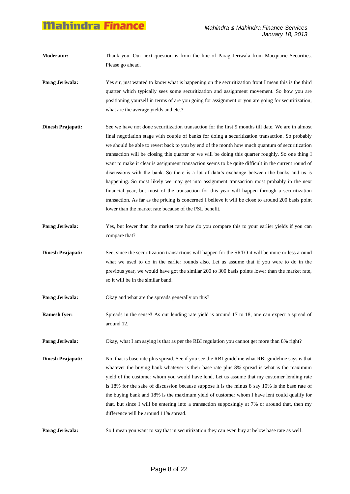- **Moderator:** Thank you. Our next question is from the line of Parag Jeriwala from Macquarie Securities. Please go ahead.
- **Parag Jeriwala:** Yes sir, just wanted to know what is happening on the securitization front I mean this is the third quarter which typically sees some securitization and assignment movement. So how you are positioning yourself in terms of are you going for assignment or you are going for securitization, what are the average yields and etc.?
- **Dinesh Prajapati:** See we have not done securitization transaction for the first 9 months till date. We are in almost final negotiation stage with couple of banks for doing a securitization transaction. So probably we should be able to revert back to you by end of the month how much quantum of securitization transaction will be closing this quarter or we will be doing this quarter roughly. So one thing I want to make it clear is assignment transaction seems to be quite difficult in the current round of discussions with the bank. So there is a lot of data"s exchange between the banks and us is happening. So most likely we may get into assignment transaction most probably in the next financial year, but most of the transaction for this year will happen through a securitization transaction. As far as the pricing is concerned I believe it will be close to around 200 basis point lower than the market rate because of the PSL benefit.
- **Parag Jeriwala:** Yes, but lower than the market rate how do you compare this to your earlier yields if you can compare that?
- **Dinesh Prajapati:** See, since the securitization transactions will happen for the SRTO it will be more or less around what we used to do in the earlier rounds also. Let us assume that if you were to do in the previous year, we would have got the similar 200 to 300 basis points lower than the market rate, so it will be in the similar band.

**Parag Jeriwala:** Okay and what are the spreads generally on this?

**Ramesh Iyer:** Spreads in the sense? As our lending rate yield is around 17 to 18, one can expect a spread of around 12.

**Parag Jeriwala:** Okay, what I am saying is that as per the RBI regulation you cannot get more than 8% right?

**Dinesh Prajapati:** No, that is base rate plus spread. See if you see the RBI guideline what RBI guideline says is that whatever the buying bank whatever is their base rate plus 8% spread is what is the maximum yield of the customer whom you would have lend. Let us assume that my customer lending rate is 18% for the sake of discussion because suppose it is the minus 8 say 10% is the base rate of the buying bank and 18% is the maximum yield of customer whom I have lent could qualify for that, but since I will be entering into a transaction supposingly at 7% or around that, then my difference will b**e** around 11% spread.

**Parag Jeriwala:** So I mean you want to say that in securitization they can even buy at below base rate as well.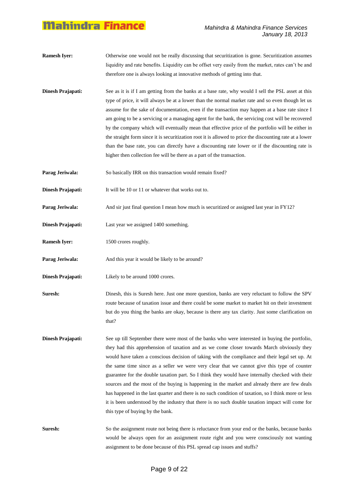- **Ramesh Iver:** Otherwise one would not be really discussing that securitization is gone. Securitization assumes liquidity and rate benefits. Liquidity can be offset very easily from the market, rates can"t be and therefore one is always looking at innovative methods of getting into that.
- **Dinesh Prajapati:** See as it is if I am getting from the banks at a base rate, why would I sell the PSL asset at this type of price, it will always be at a lower than the normal market rate and so even though let us assume for the sake of documentation, even if the transaction may happen at a base rate since I am going to be a servicing or a managing agent for the bank, the servicing cost will be recovered by the company which will eventually mean that effective price of the portfolio will be either in the straight form since it is securitization root it is allowed to price the discounting rate at a lower than the base rate, you can directly have a discounting rate lower or if the discounting rate is higher then collection fee will be there as a part of the transaction.
- **Parag Jeriwala:** So basically IRR on this transaction would remain fixed?
- **Dinesh Prajapati:** It will be 10 or 11 or whatever that works out to.
- **Parag Jeriwala:** And sir just final question I mean how much is securitized or assigned last year in FY12?
- **Dinesh Prajapati:** Last year we assigned 1400 something.
- **Ramesh Iyer:** 1500 crores roughly.
- **Parag Jeriwala:** And this year it would be likely to be around?
- **Dinesh Prajapati:** Likely to be around 1000 crores.
- **Suresh:** Dinesh, this is Suresh here. Just one more question, banks are very reluctant to follow the SPV route because of taxation issue and there could be some market to market hit on their investment but do you thing the banks are okay, because is there any tax clarity. Just some clarification on that?
- **Dinesh Prajapati:** See up till September there were most of the banks who were interested in buying the portfolio, they had this apprehension of taxation and as we come closer towards March obviously they would have taken a conscious decision of taking with the compliance and their legal set up. At the same time since as a seller we were very clear that we cannot give this type of counter guarantee for the double taxation part. So I think they would have internally checked with their sources and the most of the buying is happening in the market and already there are few deals has happened in the last quarter and there is no such condition of taxation, so I think more or less it is been understood by the industry that there is no such double taxation impact will come for this type of buying by the bank.
- **Suresh:** So the assignment route not being there is reluctance from your end or the banks, because banks would be always open for an assignment route right and you were consciously not wanting assignment to be done because of this PSL spread cap issues and stuffs?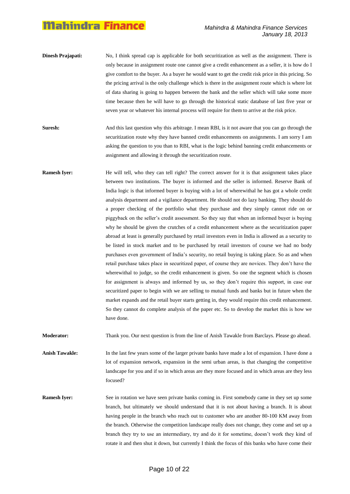- **Dinesh Prajapati:** No, I think spread cap is applicable for both securitization as well as the assignment. There is only because in assignment route one cannot give a credit enhancement as a seller, it is how do I give comfort to the buyer. As a buyer he would want to get the credit risk price in this pricing. So the pricing arrival is the only challenge which is there in the assignment route which is where lot of data sharing is going to happen between the bank and the seller which will take some more time because then he will have to go through the historical static database of last five year or seven year or whatever his internal process will require for them to arrive at the risk price.
- **Suresh:** And this last question why this arbitrage. I mean RBI, is it not aware that you can go through the securitization route why they have banned credit enhancements on assignments. I am sorry I am asking the question to you than to RBI, what is the logic behind banning credit enhancements or assignment and allowing it through the securitization route.
- **Ramesh Iyer:** He will tell, who they can tell right? The correct answer for it is that assignment takes place between two institutions. The buyer is informed and the seller is informed. Reserve Bank of India logic is that informed buyer is buying with a lot of wherewithal he has got a whole credit analysis department and a vigilance department. He should not do lazy banking. They should do a proper checking of the portfolio what they purchase and they simply cannot ride on or piggyback on the seller"s credit assessment. So they say that when an informed buyer is buying why he should be given the crutches of a credit enhancement where as the securitization paper abroad at least is generally purchased by retail investors even in India is allowed as a security to be listed in stock market and to be purchased by retail investors of course we had no body purchases even government of India"s security, no retail buying is taking place. So as and when retail purchase takes place in securitized paper, of course they are novices. They don"t have the wherewithal to judge, so the credit enhancement is given. So one the segment which is chosen for assignment is always and informed by us, so they don't require this support, in case our securitized paper to begin with we are selling to mutual funds and banks but in future when the market expands and the retail buyer starts getting in, they would require this credit enhancement. So they cannot do complete analysis of the paper etc. So to develop the market this is how we have done.

**Moderator:** Thank you. Our next question is from the line of Anish Tawakle from Barclays. Please go ahead.

**Anish Tawakle:** In the last few years some of the larger private banks have made a lot of expansion. I have done a lot of expansion network, expansion in the semi urban areas, is that changing the competitive landscape for you and if so in which areas are they more focused and in which areas are they less focused?

**Ramesh Iyer:** See in rotation we have seen private banks coming in. First somebody came in they set up some branch, but ultimately we should understand that it is not about having a branch. It is about having people in the branch who reach out to customer who are another 80-100 KM away from the branch. Otherwise the competition landscape really does not change, they come and set up a branch they try to use an intermediary, try and do it for sometime, doesn"t work they kind of rotate it and then shut it down, but currently I think the focus of this banks who have come their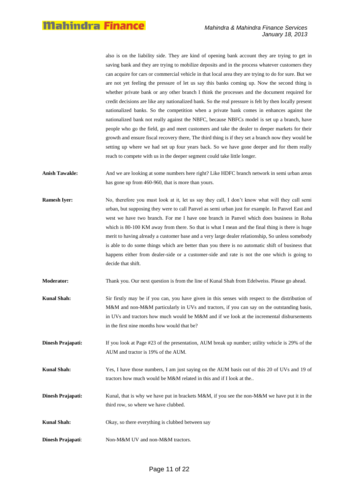also is on the liability side. They are kind of opening bank account they are trying to get in saving bank and they are trying to mobilize deposits and in the process whatever customers they can acquire for cars or commercial vehicle in that local area they are trying to do for sure. But we are not yet feeling the pressure of let us say this banks coming up. Now the second thing is whether private bank or any other branch I think the processes and the document required for credit decisions are like any nationalized bank. So the real pressure is felt by then locally present nationalized banks. So the competition when a private bank comes in enhances against the nationalized bank not really against the NBFC, because NBFCs model is set up a branch, have people who go the field, go and meet customers and take the dealer to deeper markets for their growth and ensure fiscal recovery there, The third thing is if they set a branch now they would be setting up where we had set up four years back. So we have gone deeper and for them really reach to compete with us in the deeper segment could take little longer.

- **Anish Tawakle:** And we are looking at some numbers here right? Like HDFC branch network in semi urban areas has gone up from 460-960, that is more than yours.
- **Ramesh Iyer:** No, therefore you must look at it, let us say they call, I don't know what will they call semiurban, but supposing they were to call Panvel as semi urban just for example. In Panvel East and west we have two branch. For me I have one branch in Panvel which does business in Roha which is 80-100 KM away from there. So that is what I mean and the final thing is there is huge merit to having already a customer base and a very large dealer relationship, So unless somebody is able to do some things which are better than you there is no automatic shift of business that happens either from dealer-side or a customer-side and rate is not the one which is going to decide that shift.
- **Moderator:** Thank you. Our next question is from the line of Kunal Shah from Edelweiss. Please go ahead.
- **Kunal Shah:** Sir firstly may be if you can, you have given in this senses with respect to the distribution of M&M and non-M&M particularly in UVs and tractors, if you can say on the outstanding basis, in UVs and tractors how much would be M&M and if we look at the incremental disbursements in the first nine months how would that be?
- **Dinesh Prajapati:** If you look at Page #23 of the presentation, AUM break up number; utility vehicle is 29% of the AUM and tractor is 19% of the AUM.
- **Kunal Shah:** Yes, I have those numbers, I am just saying on the AUM basis out of this 20 of UVs and 19 of tractors how much would be M&M related in this and if I look at the..
- **Dinesh Prajapati:** Kunal, that is why we have put in brackets M&M, if you see the non-M&M we have put it in the third row, so where we have clubbed.
- **Kunal Shah:** Okay, so there everything is clubbed between say
- **Dinesh Prajapati**: Non-M&M UV and non-M&M tractors.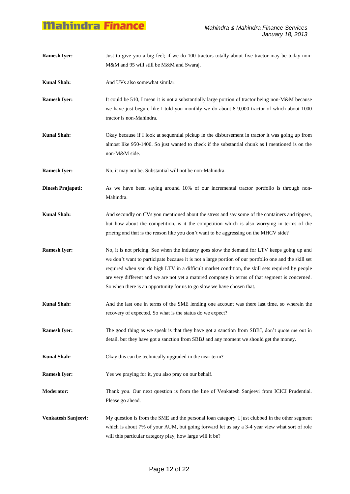**Ramesh Iver:** Just to give you a big feel; if we do 100 tractors totally about five tractor may be today non-M&M and 95 will still be M&M and Swaraj. **Kunal Shah:** And UVs also somewhat similar. **Ramesh Iyer:** It could be 510, I mean it is not a substantially large portion of tractor being non-M&M because we have just begun, like I told you monthly we do about 8-9,000 tractor of which about 1000 tractor is non-Mahindra. **Kunal Shah:** Okay because if I look at sequential pickup in the disbursement in tractor it was going up from almost like 950-1400. So just wanted to check if the substantial chunk as I mentioned is on the non-M&M side. **Ramesh Iyer:** No, it may not be. Substantial will not be non-Mahindra. **Dinesh Prajapati:** As we have been saying around 10% of our incremental tractor portfolio is through non-Mahindra. **Kunal Shah:** And secondly on CVs you mentioned about the stress and say some of the containers and tippers, but how about the competition, is it the competition which is also worrying in terms of the pricing and that is the reason like you don"t want to be aggressing on the MHCV side? **Ramesh Iyer:** No, it is not pricing. See when the industry goes slow the demand for LTV keeps going up and we don"t want to participate because it is not a large portion of our portfolio one and the skill set required when you do high LTV in a difficult market condition, the skill sets required by people are very different and we are not yet a matured company in terms of that segment is concerned. So when there is an opportunity for us to go slow we have chosen that. **Kunal Shah:** And the last one in terms of the SME lending one account was there last time, so wherein the recovery of expected. So what is the status do we expect? **Ramesh Iyer:** The good thing as we speak is that they have got a sanction from SBBJ, don't quote me out in detail, but they have got a sanction from SBBJ and any moment we should get the money. **Kunal Shah:** Okay this can be technically upgraded in the near term? **Ramesh Iyer:** Yes we praying for it, you also pray on our behalf. **Moderator:** Thank you. Our next question is from the line of Venkatesh Sanjeevi from ICICI Prudential. Please go ahead. **Venkatesh Sanjeevi:** My question is from the SME and the personal loan category. I just clubbed in the other segment which is about 7% of your AUM, but going forward let us say a 3-4 year view what sort of role will this particular category play, how large will it be?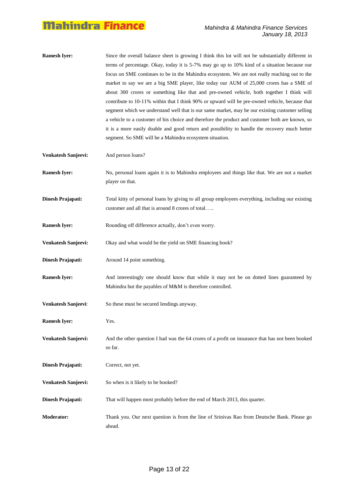- **Ramesh Iyer:** Since the overall balance sheet is growing I think this lot will not be substantially different in terms of percentage. Okay, today it is 5-7% may go up to 10% kind of a situation because our focus on SME continues to be in the Mahindra ecosystem. We are not really reaching out to the market to say we are a big SME player, like today our AUM of 25,000 crores has a SME of about 300 crores or something like that and pre-owned vehicle, both together I think will contribute to 10-11% within that I think 90% or upward will be pre-owned vehicle, because that segment which we understand well that is our same market, may be our existing customer selling a vehicle to a customer of his choice and therefore the product and customer both are known, so it is a more easily doable and good return and possibility to handle the recovery much better segment. So SME will be a Mahindra ecosystem situation.
- **Venkatesh Sanjeevi:** And person loans?
- **Ramesh Iyer:** No, personal loans again it is to Mahindra employees and things like that. We are not a market player on that.
- **Dinesh Prajapati:** Total kitty of personal loans by giving to all group employees everything, including our existing customer and all that is around 8 crores of total…..
- **Ramesh Iyer:** Rounding off difference actually, don't even worry.
- **Venkatesh Sanjeevi:** Okay and what would be the yield on SME financing book?
- **Dinesh Prajapati:** Around 14 point something.
- **Ramesh Iyer:** And interestingly one should know that while it may not be on dotted lines guaranteed by Mahindra but the payables of M&M is therefore controlled.
- **Venkatesh Sanjeevi**: So these must be secured lendings anyway.
- **Ramesh Iyer:** Yes.
- **Venkatesh Sanjeevi:** And the other question I had was the 64 crores of a profit on insurance that has not been booked so far.
- **Dinesh Prajapati:** Correct, not yet.
- **Venkatesh Sanjeevi:** So when is it likely to be booked?
- **Dinesh Prajapati:** That will happen most probably before the end of March 2013, this quarter.
- **Moderator:** Thank you. Our next question is from the line of Srinivas Rao from Deutsche Bank. Please go ahead.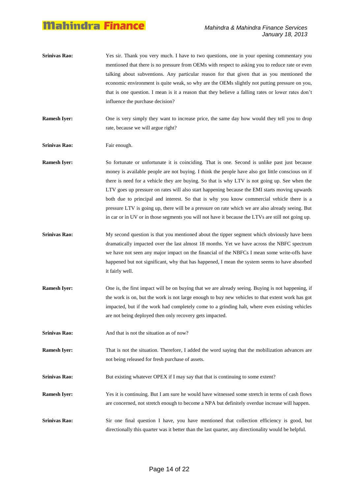**Srinivas Rao:** Yes sir. Thank you very much. I have to two questions, one in your opening commentary you mentioned that there is no pressure from OEMs with respect to asking you to reduce rate or even talking about subventions. Any particular reason for that given that as you mentioned the economic environment is quite weak, so why are the OEMs slightly not putting pressure on you, that is one question. I mean is it a reason that they believe a falling rates or lower rates don"t influence the purchase decision?

**Ramesh Iyer:** One is very simply they want to increase price, the same day how would they tell you to drop rate, because we will argue right?

**Srinivas Rao:** Fair enough.

**Ramesh Iyer:** So fortunate or unfortunate it is coinciding. That is one. Second is unlike past just because money is available people are not buying. I think the people have also got little conscious on if there is need for a vehicle they are buying. So that is why LTV is not going up. See when the LTV goes up pressure on rates will also start happening because the EMI starts moving upwards both due to principal and interest. So that is why you know commercial vehicle there is a pressure LTV is going up, there will be a pressure on rate which we are also already seeing. But in car or in UV or in those segments you will not have it because the LTVs are still not going up.

- **Srinivas Rao:** My second question is that you mentioned about the tipper segment which obviously have been dramatically impacted over the last almost 18 months. Yet we have across the NBFC spectrum we have not seen any major impact on the financial of the NBFCs I mean some write-offs have happened but not significant, why that has happened, I mean the system seems to have absorbed it fairly well.
- **Ramesh Iyer:** One is, the first impact will be on buying that we are already seeing. Buying is not happening, if the work is on, but the work is not large enough to buy new vehicles to that extent work has got impacted, but if the work had completely come to a grinding halt, where even existing vehicles are not being deployed then only recovery gets impacted.
- **Srinivas Rao:** And that is not the situation as of now?
- **Ramesh Iyer:** That is not the situation. Therefore, I added the word saying that the mobilization advances are not being released for fresh purchase of assets.
- **Srinivas Rao:** But existing whatever OPEX if I may say that that is continuing to some extent?
- **Ramesh Iyer:** Yes it is continuing. But I am sure he would have witnessed some stretch in terms of cash flows are concerned, not stretch enough to become a NPA but definitely overdue increase will happen.

Srinivas Rao: Sir one final question I have, you have mentioned that collection efficiency is good, but directionally this quarter was it better than the last quarter, any directionality would be helpful.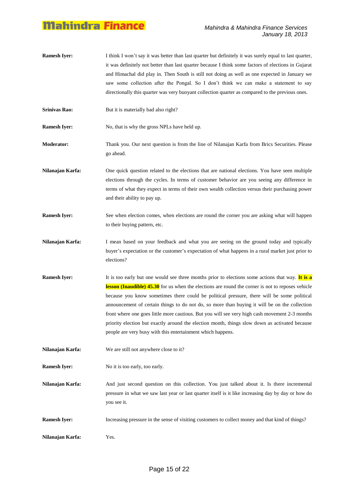- **Ramesh Iver:** I think I won't say it was better than last quarter but definitely it was surely equal to last quarter, it was definitely not better than last quarter because I think some factors of elections in Gujarat and Himachal did play in. Then South is still not doing as well as one expected in January we saw some collection after the Pongal. So I don"t think we can make a statement to say directionally this quarter was very buoyant collection quarter as compared to the previous ones.
- **Srinivas Rao:** But it is materially bad also right?

**Ramesh Iyer:** No, that is why the gross NPLs have held up.

**Moderator:** Thank you. Our next question is from the line of Nilanajan Karfa from Brics Securities. Please go ahead.

**Nilanajan Karfa:** One quick question related to the elections that are national elections. You have seen multiple elections through the cycles. In terms of customer behavior are you seeing any difference in terms of what they expect in terms of their own wealth collection versus their purchasing power and their ability to pay up.

- **Ramesh Iyer:** See when election comes, when elections are round the corner you are asking what will happen to their buying pattern, etc.
- **Nilanajan Karfa:** I mean based on your feedback and what you are seeing on the ground today and typically buyer"s expectation or the customer"s expectation of what happens in a rural market just prior to elections?
- **Ramesh Iyer:** It is too early but one would see three months prior to elections some actions that way. It is a **lesson (Inaudible) 45.30** for us when the elections are round the corner is not to reposes vehicle because you know sometimes there could be political pressure, there will be some political announcement of certain things to do not do, so more than buying it will be on the collection front where one goes little more cautious. But you will see very high cash movement 2-3 months priority election but exactly around the election month, things slow down as activated because people are very busy with this entertainment which happens.

**Nilanajan Karfa:** We are still not anywhere close to it?

**Ramesh Iyer:** No it is too early, too early.

**Nilanajan Karfa:** And just second question on this collection. You just talked about it. Is there incremental pressure in what we saw last year or last quarter itself is it like increasing day by day or how do you see it.

- **Ramesh Iyer:** Increasing pressure in the sense of visiting customers to collect money and that kind of things?
- **Nilanajan Karfa:** Yes.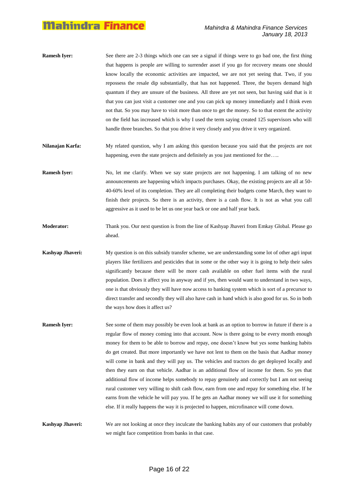- **Ramesh Iver:** See there are 2-3 things which one can see a signal if things were to go bad one, the first thing that happens is people are willing to surrender asset if you go for recovery means one should know locally the economic activities are impacted, we are not yet seeing that. Two, if you repossess the resale dip substantially, that has not happened. Three, the buyers demand high quantum if they are unsure of the business. All three are yet not seen, but having said that is it that you can just visit a customer one and you can pick up money immediately and I think even not that. So you may have to visit more than once to get the money. So to that extent the activity on the field has increased which is why I used the term saying created 125 supervisors who will handle three branches. So that you drive it very closely and you drive it very organized.
- **Nilanajan Karfa:** My related question, why I am asking this question because you said that the projects are not happening, even the state projects and definitely as you just mentioned for the.....
- **Ramesh Iyer:** No, let me clarify. When we say state projects are not happening. I am talking of no new announcements are happening which impacts purchases. Okay, the existing projects are all at 50- 40-60% level of its completion. They are all completing their budgets come March, they want to finish their projects. So there is an activity, there is a cash flow. It is not as what you call aggressive as it used to be let us one year back or one and half year back.
- **Moderator:** Thank you. Our next question is from the line of Kashyap Jhaveri from Emkay Global. Please go ahead.
- **Kashyap Jhaveri:** My question is on this subsidy transfer scheme, we are understanding some lot of other agri input players like fertilizers and pesticides that in some or the other way it is going to help their sales significantly because there will be more cash available on other fuel items with the rural population. Does it affect you in anyway and if yes, then would want to understand in two ways, one is that obviously they will have now access to banking system which is sort of a precursor to direct transfer and secondly they will also have cash in hand which is also good for us. So in both the ways how does it affect us?
- **Ramesh Iver:** See some of them may possibly be even look at bank as an option to borrow in future if there is a regular flow of money coming into that account. Now is there going to be every month enough money for them to be able to borrow and repay, one doesn"t know but yes some banking habits do get created. But more importantly we have not lent to them on the basis that Aadhar money will come in bank and they will pay us. The vehicles and tractors do get deployed locally and then they earn on that vehicle. Aadhar is an additional flow of income for them. So yes that additional flow of income helps somebody to repay genuinely and correctly but I am not seeing rural customer very willing to shift cash flow, earn from one and repay for something else. If he earns from the vehicle he will pay you. If he gets an Aadhar money we will use it for something else. If it really happens the way it is projected to happen, microfinance will come down.

**Kashyap Jhaveri:** We are not looking at once they inculcate the banking habits any of our customers that probably we might face competition from banks in that case.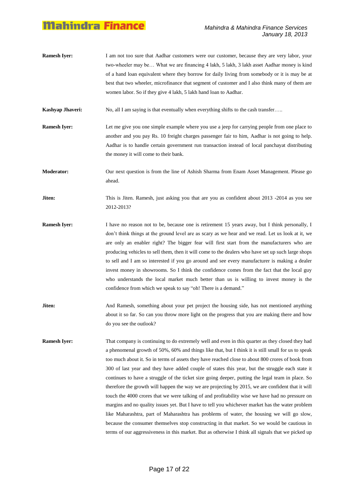**Ramesh Iver:** I am not too sure that Aadhar customers were our customer, because they are very labor, your two-wheeler may be… What we are financing 4 lakh, 5 lakh, 3 lakh asset Aadhar money is kind of a hand loan equivalent where they borrow for daily living from somebody or it is may be at best that two wheeler, microfinance that segment of customer and I also think many of them are women labor. So if they give 4 lakh, 5 lakh hand loan to Aadhar.

**Kashyap Jhaveri:** No, all I am saying is that eventually when everything shifts to the cash transfer…..

**Ramesh Iyer:** Let me give you one simple example where you use a jeep for carrying people from one place to another and you pay Rs. 10 freight charges passenger fair to him, Aadhar is not going to help. Aadhar is to handle certain government run transaction instead of local panchayat distributing the money it will come to their bank.

**Moderator:** Our next question is from the line of Ashish Sharma from Enam Asset Management. Please go ahead.

**Jiten:** This is Jiten. Ramesh, just asking you that are you as confident about 2013 -2014 as you see 2012-2013?

- **Ramesh Iyer:** I have no reason not to be, because one is retirement 15 years away, but I think personally, I don"t think things at the ground level are as scary as we hear and we read. Let us look at it, we are only an enabler right? The bigger fear will first start from the manufacturers who are producing vehicles to sell them, then it will come to the dealers who have set up such large shops to sell and I am so interested if you go around and see every manufacturer is making a dealer invest money in showrooms. So I think the confidence comes from the fact that the local guy who understands the local market much better than us is willing to invest money is the confidence from which we speak to say "oh! There is a demand."
- **Jiten:** And Ramesh, something about your pet project the housing side, has not mentioned anything about it so far. So can you throw more light on the progress that you are making there and how do you see the outlook?
- **Ramesh Iyer:** That company is continuing to do extremely well and even in this quarter as they closed they had a phenomenal growth of 50%, 60% and things like that, but I think it is still small for us to speak too much about it. So in terms of assets they have reached close to about 800 crores of book from 300 of last year and they have added couple of states this year, but the struggle each state it continues to have a struggle of the ticket size going deeper, putting the legal team in place. So therefore the growth will happen the way we are projecting by 2015, we are confident that it will touch the 4000 crores that we were talking of and profitability wise we have had no pressure on margins and no quality issues yet. But I have to tell you whichever market has the water problem like Maharashtra, part of Maharashtra has problems of water, the housing we will go slow, because the consumer themselves stop constructing in that market. So we would be cautious in terms of our aggressiveness in this market. But as otherwise I think all signals that we picked up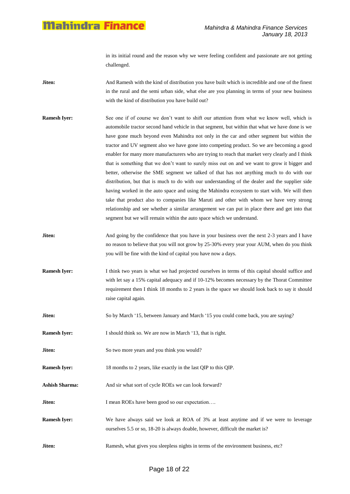in its initial round and the reason why we were feeling confident and passionate are not getting challenged.

- **Jiten:** And Ramesh with the kind of distribution you have built which is incredible and one of the finest in the rural and the semi urban side, what else are you planning in terms of your new business with the kind of distribution you have build out?
- **Ramesh Iyer:** See one if of course we don't want to shift our attention from what we know well, which is automobile tractor second hand vehicle in that segment, but within that what we have done is we have gone much beyond even Mahindra not only in the car and other segment but within the tractor and UV segment also we have gone into competing product. So we are becoming a good enabler for many more manufacturers who are trying to reach that market very clearly and I think that is something that we don"t want to surely miss out on and we want to grow it bigger and better, otherwise the SME segment we talked of that has not anything much to do with our distribution, but that is much to do with our understanding of the dealer and the supplier side having worked in the auto space and using the Mahindra ecosystem to start with. We will then take that product also to companies like Maruti and other with whom we have very strong relationship and see whether a similar arrangement we can put in place there and get into that segment but we will remain within the auto space which we understand.
- **Jiten:** And going by the confidence that you have in your business over the next 2-3 years and I have no reason to believe that you will not grow by 25-30% every year your AUM, when do you think you will be fine with the kind of capital you have now a days.
- **Ramesh Iyer:** I think two years is what we had projected ourselves in terms of this capital should suffice and with let say a 15% capital adequacy and if 10-12% becomes necessary by the Thorat Committee requirement then I think 18 months to 2 years is the space we should look back to say it should raise capital again.
- **Jiten:** So by March '15, between January and March '15 you could come back, you are saying?
- **Ramesh Iyer:** I should think so. We are now in March '13, that is right.
- **Jiten:** So two more years and you think you would?
- **Ramesh Iyer:** 18 months to 2 years, like exactly in the last QIP to this QIP.
- Ashish Sharma: And sir what sort of cycle ROEs we can look forward?
- **Jiten:** I mean ROEs have been good so our expectation....
- **Ramesh Iyer:** We have always said we look at ROA of 3% at least anytime and if we were to leverage ourselves 5.5 or so, 18-20 is always doable, however, difficult the market is?
- **Jiten:** Ramesh, what gives you sleepless nights in terms of the environment business, etc?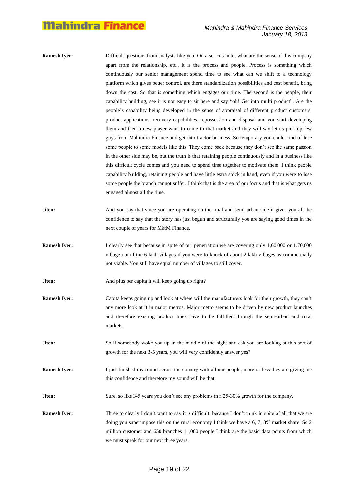**Ramesh Iver:** Difficult questions from analysts like you. On a serious note, what are the sense of this company apart from the relationship, etc., it is the process and people. Process is something which continuously our senior management spend time to see what can we shift to a technology platform which gives better control, are there standardization possibilities and cost benefit, bring down the cost. So that is something which engages our time. The second is the people, their capability building, see it is not easy to sit here and say "oh! Get into multi product". Are the people"s capability being developed in the sense of appraisal of different product customers, product applications, recovery capabilities, repossession and disposal and you start developing them and then a new player want to come to that market and they will say let us pick up few guys from Mahindra Finance and get into tractor business. So temporary you could kind of lose some people to some models like this. They come back because they don"t see the same passion in the other side may be, but the truth is that retaining people continuously and in a business like this difficult cycle comes and you need to spend time together to motivate them. I think people capability building, retaining people and have little extra stock in hand, even if you were to lose some people the branch cannot suffer. I think that is the area of our focus and that is what gets us engaged almost all the time. **Jiten:** And you say that since you are operating on the rural and semi-urban side it gives you all the confidence to say that the story has just begun and structurally you are saying good times in the next couple of years for M&M Finance. **Ramesh Iyer:** I clearly see that because in spite of our penetration we are covering only 1,60,000 or 1.70,000 village out of the 6 lakh villages if you were to knock of about 2 lakh villages as commercially not viable. You still have equal number of villages to still cover. **Jiten:** And plus per capita it will keep going up right? **Ramesh Iyer:** Capita keeps going up and look at where will the manufacturers look for their growth, they can't any more look at it in major metros. Major metro seems to be driven by new product launches and therefore existing product lines have to be fulfilled through the semi-urban and rural markets. **Jiten:** So if somebody woke you up in the middle of the night and ask you are looking at this sort of growth for the next 3-5 years, you will very confidently answer yes? **Ramesh Iyer:** I just finished my round across the country with all our people, more or less they are giving me this confidence and therefore my sound will be that. **Jiten:** Sure, so like 3-5 years you don't see any problems in a 25-30% growth for the company. **Ramesh Iyer:** Three to clearly I don't want to say it is difficult, because I don't think in spite of all that we are doing you superimpose this on the rural economy I think we have a 6, 7, 8% market share. So 2 million customer and 650 branches 11,000 people I think are the basic data points from which we must speak for our next three years.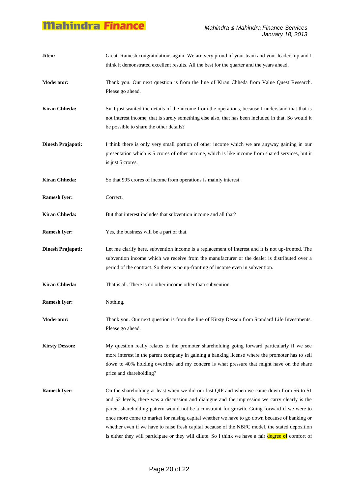| Jiten:                | Great. Ramesh congratulations again. We are very proud of your team and your leadership and I<br>think it demonstrated excellent results. All the best for the quarter and the years ahead.                                                                                                                                                                                                                                                                                                                                                                                                            |
|-----------------------|--------------------------------------------------------------------------------------------------------------------------------------------------------------------------------------------------------------------------------------------------------------------------------------------------------------------------------------------------------------------------------------------------------------------------------------------------------------------------------------------------------------------------------------------------------------------------------------------------------|
| <b>Moderator:</b>     | Thank you. Our next question is from the line of Kiran Chheda from Value Quest Research.<br>Please go ahead.                                                                                                                                                                                                                                                                                                                                                                                                                                                                                           |
| <b>Kiran Chheda:</b>  | Sir I just wanted the details of the income from the operations, because I understand that that is<br>not interest income, that is surely something else also, that has been included in that. So would it<br>be possible to share the other details?                                                                                                                                                                                                                                                                                                                                                  |
| Dinesh Prajapati:     | I think there is only very small portion of other income which we are anyway gaining in our<br>presentation which is 5 crores of other income, which is like income from shared services, but it<br>is just 5 crores.                                                                                                                                                                                                                                                                                                                                                                                  |
| <b>Kiran Chheda:</b>  | So that 995 crores of income from operations is mainly interest.                                                                                                                                                                                                                                                                                                                                                                                                                                                                                                                                       |
| <b>Ramesh Iyer:</b>   | Correct.                                                                                                                                                                                                                                                                                                                                                                                                                                                                                                                                                                                               |
| <b>Kiran Chheda:</b>  | But that interest includes that subvention income and all that?                                                                                                                                                                                                                                                                                                                                                                                                                                                                                                                                        |
| <b>Ramesh Iyer:</b>   | Yes, the business will be a part of that.                                                                                                                                                                                                                                                                                                                                                                                                                                                                                                                                                              |
| Dinesh Prajapati:     | Let me clarify here, subvention income is a replacement of interest and it is not up-fronted. The<br>subvention income which we receive from the manufacturer or the dealer is distributed over a<br>period of the contract. So there is no up-fronting of income even in subvention.                                                                                                                                                                                                                                                                                                                  |
| <b>Kiran Chheda:</b>  | That is all. There is no other income other than subvention.                                                                                                                                                                                                                                                                                                                                                                                                                                                                                                                                           |
| <b>Ramesh Iyer:</b>   | Nothing.                                                                                                                                                                                                                                                                                                                                                                                                                                                                                                                                                                                               |
| <b>Moderator:</b>     | Thank you. Our next question is from the line of Kirsty Desson from Standard Life Investments.<br>Please go ahead.                                                                                                                                                                                                                                                                                                                                                                                                                                                                                     |
| <b>Kirsty Desson:</b> | My question really relates to the promoter shareholding going forward particularly if we see<br>more interest in the parent company in gaining a banking license where the promoter has to sell<br>down to 40% holding overtime and my concern is what pressure that might have on the share<br>price and shareholding?                                                                                                                                                                                                                                                                                |
| <b>Ramesh Iyer:</b>   | On the shareholding at least when we did our last QIP and when we came down from 56 to 51<br>and 52 levels, there was a discussion and dialogue and the impression we carry clearly is the<br>parent shareholding pattern would not be a constraint for growth. Going forward if we were to<br>once more come to market for raising capital whether we have to go down because of banking or<br>whether even if we have to raise fresh capital because of the NBFC model, the stated deposition<br>is either they will participate or they will dilute. So I think we have a fair degree of comfort of |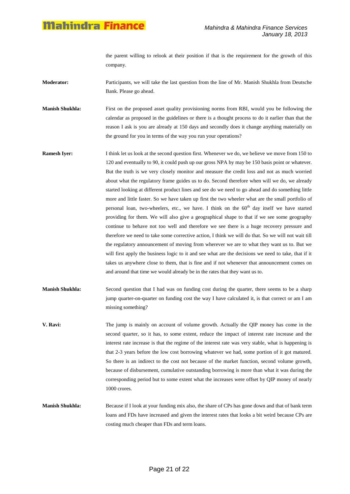the parent willing to relook at their position if that is the requirement for the growth of this company.

**Moderator:** Participants, we will take the last question from the line of Mr. Manish Shukhla from Deutsche Bank. Please go ahead.

**Manish Shukhla:** First on the proposed asset quality provisioning norms from RBI, would you be following the calendar as proposed in the guidelines or there is a thought process to do it earlier than that the reason I ask is you are already at 150 days and secondly does it change anything materially on the ground for you in terms of the way you run your operations?

- **Ramesh Iyer:** I think let us look at the second question first. Whenever we do, we believe we move from 150 to 120 and eventually to 90, it could push up our gross NPA by may be 150 basis point or whatever. But the truth is we very closely monitor and measure the credit loss and not as much worried about what the regulatory frame guides us to do. Second therefore when will we do, we already started looking at different product lines and see do we need to go ahead and do something little more and little faster. So we have taken up first the two wheeler what are the small portfolio of personal loan, two-wheelers, etc., we have. I think on the  $60<sup>th</sup>$  day itself we have started providing for them. We will also give a geographical shape to that if we see some geography continue to behave not too well and therefore we see there is a huge recovery pressure and therefore we need to take some corrective action, I think we will do that. So we will not wait till the regulatory announcement of moving from wherever we are to what they want us to. But we will first apply the business logic to it and see what are the decisions we need to take, that if it takes us anywhere close to them, that is fine and if not whenever that announcement comes on and around that time we would already be in the rates that they want us to.
- **Manish Shukhla:** Second question that I had was on funding cost during the quarter, there seems to be a sharp jump quarter-on-quarter on funding cost the way I have calculated it, is that correct or am I am missing something?
- **V. Ravi:** The jump is mainly on account of volume growth. Actually the QIP money has come in the second quarter, so it has, to some extent, reduce the impact of interest rate increase and the interest rate increase is that the regime of the interest rate was very stable, what is happening is that 2-3 years before the low cost borrowing whatever we had, some portion of it got matured. So there is an indirect to the cost not because of the market function, second volume growth, because of disbursement, cumulative outstanding borrowing is more than what it was during the corresponding period but to some extent what the increases were offset by QIP money of nearly 1000 crores.
- **Manish Shukhla:** Because if I look at your funding mix also, the share of CPs has gone down and that of bank term loans and FDs have increased and given the interest rates that looks a bit weird because CPs are costing much cheaper than FDs and term loans.